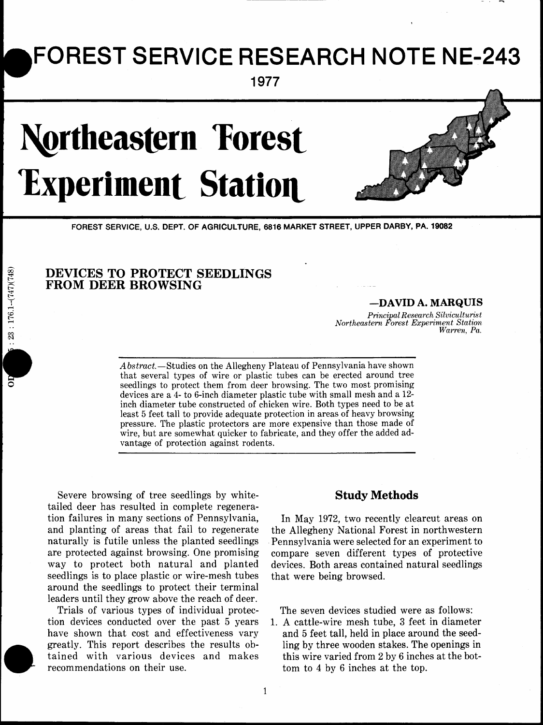## **FOREST SERVICE RESEARCH NOTE NE-243**

**1977** 

# **Northeastern Forest Experiment Station**



FOREST SERVICE, U.S. DEPT. OF AGRICULTURE, 6816 MARKET STREET, UPPER DARBY, PA. 19082

## **DEVICES TO PROTECT SEEDLINGS FROM DEER BROWSING**

### *-DAVID* **A. MARQUIS**

*Pm'nci a1 Research Silwiculturis t Northeas tern &res t Experiment Station* 

A *bstract*.-Studies on the Allegheny Plateau of Pennsylvania have shown that several types of wire or plastic tubes can be erected around tree seedlings to protect them from deer browsing. The two most promising devices are a 4- to 6-inch diameter plastic tube with small mesh and a 12 inch diameter tube constructed of chicken wire. Both types need to be at least 5 feet tall to provide adequate protection in areas of heavy browsing pressure. The plastic protectors are more expensive than those made of wire, but are somewhat quicker to fabricate, and they offer the added advantage of protection against rodents.

Severe browsing of tree seedlings by white- **Study Methods**  tailed deer has resulted in complete regeneration failures in many sections of Pennsylvania, In May 1972, two recently clearcut areas on and planting of areas that fail to regenerate the Allegheny National Forest in northwestern and planting of areas that fail to regenerate the Allegheny National Forest in northwestern<br>naturally is futile unless the planted seedlings Pennsylvania were selected for an experiment to naturally is futile unless the planted seedlings Pennsylvania were selected for an experiment to are protected against browsing. One promising compare seven different types of protective are protected against browsing. One promising compare seven different types of protective seedlings is to place plastic or wire-mesh tubes that were being browsed. around the seedlings to protect their terminal leaders until they grow above the reach of deer.

Trials of various types of individual protec- The seven devices studied were as follows: tion devices conducted over the past 5 years 1. A cattle-wire mesh tube, 3 feet in diameter<br>have shown that cost and effectiveness vary and 5 feet tall, held in place around the seedgreatly. This report describes the results ob-<br>tained with various devices and makes this wire varied from 2 by 6 inches at the bottained with various devices and makes this wire varied from 2 by 6 inches at the bot-<br>recommendations on their use.<br>tom to 4 by 6 inches at the top.

devices. Both areas contained natural seedlings

and 5 feet tall, held in place around the seedtom to 4 by 6 inches at the top.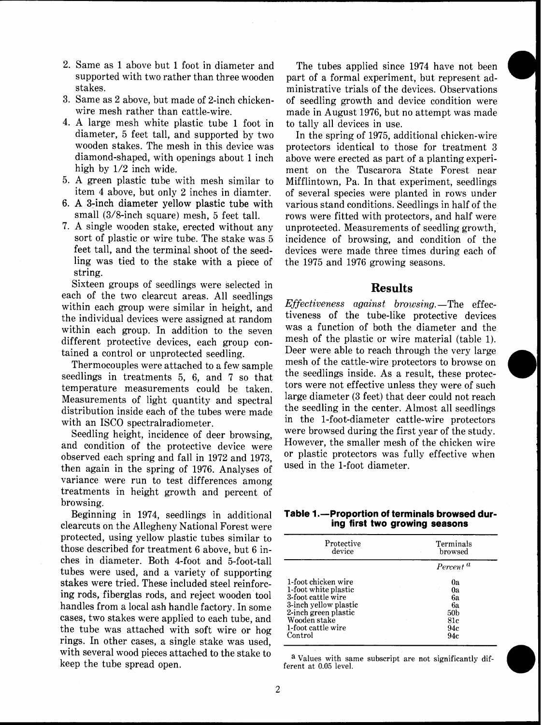**a** 

**a** 

- 2. Same as 1 above but 1 foot in diameter and The tubes applied since 1974 have not been supported with two rather than three wooden part of a formal experiment, but represent ad-
- 
- 4. A large mesh white plastic tube 1 foot in to tally all devices in use.<br>diameter, 5 feet tall, and supported by two In the spring of 1975, ad
- 
- 
- ling was tied to the stake with a piece of the 1975 and 1976 growing seasons. string.<br>Sixteen groups of seedlings were selected in

Sixteen groups of seedlings were selected in **Results**<br> **Results** each of the two clearcut areas. All seedlings<br> **Effectiveness** against browsing.—The effec-<br> **Effectiveness** against browsing.—The effecwithin each group were similar in height, and  $E_J$  *Effectiveness against browsing*.—The effective devices the individual devices were assigned at random tiveness of the tube-like protective devices the individual devices were assigned at random<br>was a function of both the diameter and the<br>within each group. In addition to the soven was a function of both the diameter and the within each group. In addition to the seven was a function of both the diameter and the different protective devices each group con-<br>mesh of the plastic or wire material (table 1). different protective devices, each group con-

seedlings in treatments 5, 6, and 7 so that temperature measurements could be taken. tors were not effective unless they were of such<br>Measurements of light quantity and apostral large diameter (3 feet) that deer could not reach Measurements of light quantity and spectral large diameter (3 feet) that deer could not reach<br>distribution inside each of the tubes were made. the seedling in the center. Almost all seedlings distribution inside each of the tubes were made

and condition of the protective device were  $\frac{H0Wever}{V}$ , the smaller mesh of the chicken wire<br>observed each spring and fall in 1972 and 1972. observed each spring and fall in 1972 and 1973, <sup>or</sup> plastic protectors was it<br>then again in the apping of 1976, Applying as used in the 1-foot diameter. then again in the spring of 1976. Analyses of variance were run to test differences among treatments in height growth and percent of browsing.

clearcuts on the Allegheny National Forest were protected, using yellow plastic tubes similar to those described for treatment 6 above, but 6 inches in diameter. Both 4-foot and 5-foot-tall *tubes* were used, and a variety of supporting stakes were tried. These included steel reinforc-<br>ing rods, fiberglas rods, and reject wooden tool handles from a local ash handle factory. In some cases, two stakes were applied to each tube, and the tube was attached with soft wire  $or$  hog rings. In other cases, a single stake was used, with several wood pieces attached to the stake to a values with same subscript are not significantly dif-<br>keep the tube spread open. ferent at 0.05 level.

supported with two rather than three wooden part of a formal experiment, but represent ad-<br>stakes. ministrative trials of the devices Observations stakes.<br>3. Same as 2 above, but made of 2-inch chicken- of seedling growth and device condition were of seedling growth and device condition were wire mesh rather than cattle-wire. made in August 1976, but no attempt was made

diameter, 5 feet tall, and supported by two In the spring of 1975, additional chicken-wire<br>wooden stakes. The mesh in this device was protectors identical to those for treatment 3 protectors identical to those for treatment 3 diamond-shaped, with openings about 1 inch above were erected as part of a planting experi-<br>high by 1/2 inch wide.<br>expansive ment on the Tuscarora State Forest near ment on the Tuscarora State Forest near 5. A green plastic tube with mesh similar to Mifflintown, Pa. In that experiment, seedlings of several species were planted in rows under 6. A 3-inch diameter yellow plastic tube with various stand conditions. Seedlings in half of the small  $(3/8$ -inch square) mesh, 5 feet tall. rows were fitted with protectors, and half were rows were fitted with protectors, and half were 7. A single wooden stake, erected without any unprotected. Measurements of seedling growth, incidence of browsing, and condition of the feet tall, and the terminal shoot of the seed- devices were made three times during each of

tained a control or unprotected seedling. Deer were able to reach through the very large<br>Thermocouples were attached to a four sample mesh of the cattle-wire protectors to browse on Thermocouples were attached to a few sample mesh of the cattle-wire protectors to browse on reduced in the throw that the seedlings inside. As a result, these protecwith an ISCO spectralradiometer. in the 1-foot-diameter cattle-wire protectors<br>Seedling height incidence of deer browsing were browsed during the first year of the study. Seedling height, incidence of deer browsing, were prowsed during the first year of the study.<br>Seedling of the pretective device were However, the smaller mesh of the chicken wire

## Beginning in 1974, seedlings in additional **Table 1.—Proportion of terminals browsed dur-**<br>parcuts on the Allegheny National Forest were **ing first two growing seasons**

| Protective<br>device                                                                                                                                                | Terminals<br>browsed                                         |  |  |
|---------------------------------------------------------------------------------------------------------------------------------------------------------------------|--------------------------------------------------------------|--|--|
|                                                                                                                                                                     | Percent <sup>a</sup>                                         |  |  |
| 1-foot chicken wire<br>1-foot white plastic<br>3-foot cattle wire<br>3-inch yellow plastic<br>2-inch green plastic<br>Wooden stake<br>1-foot cattle wire<br>Control | 0a<br>0a<br>62<br>6a<br>50 <sub>b</sub><br>81c<br>94c<br>94c |  |  |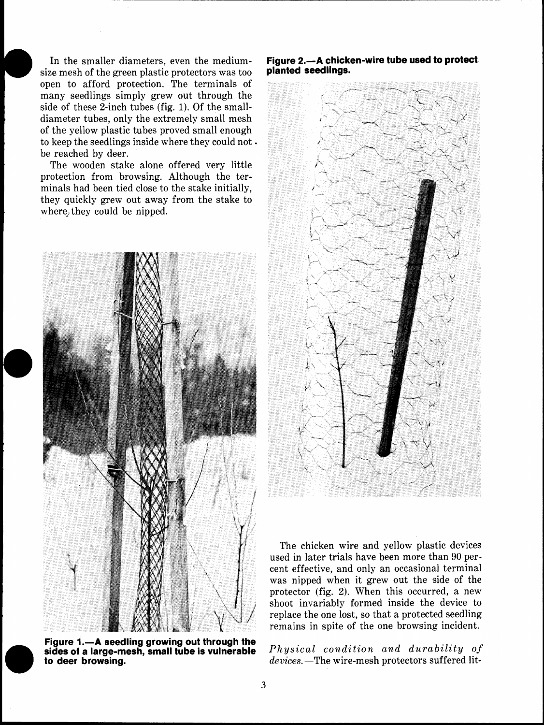In the smaller diameters, even the mediumsize mesh of the green plastic protectors was too open to afford protection. The terminals of many seedlings simply grew out through the side of these 2-inch tubes (fig. 1). Of the smalldiameter tubes, only the extremely small mesh of the yellow plastic tubes proved small enough to keep the seedlings inside where they could not . be reached by deer.

The wooden stake alone offered very little protection from browsing. Although the terminals had been tied close to the stake initially, they quickly grew out away from the stake to where they could be nipped.



Figure 1.-A seedling growing out through the **sides of a large-mesh, small tube is vulnerable to deer browsing.** 

## **Figure 2.-A chicken-wire tube used to protect planted seedlings.**



The chicken wire and yellow plastic devices used in later trials have been more than 90 percent effective, and only an occasional terminal was nipped when it grew out the side of the protector (fig. 2). When this occurred, a new shoot invariably formed inside the device to replace the one lost, so that a protected seedling remains in spite of the one browsing incident.

*Physical condition and durability of devices.* The wire-mesh protectors suffered lit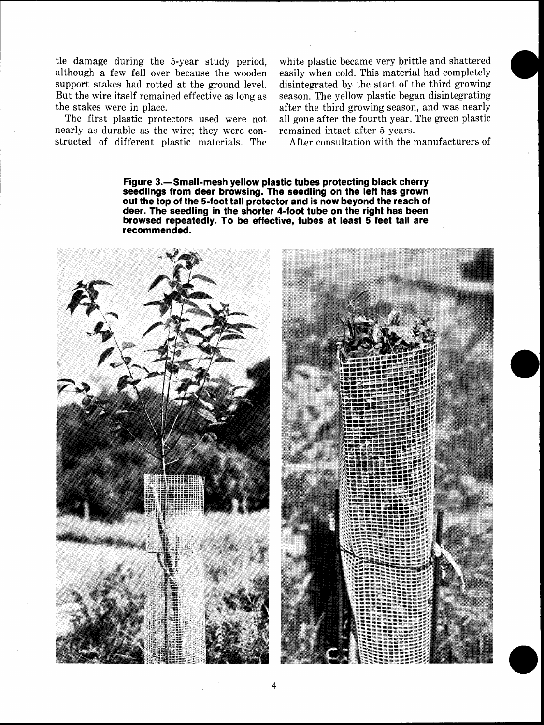tle damage during the 5-year study period, although a few fell over because the wooden support stakes had rotted at the ground level. But the wire itself remained effective as long as the stakes were in place.

The first plastic protectors used were not nearly as durable as the wire; they were constructed of different plastic materials. The

white plastic became very brittle and shattered easily when cold. This material had completely disintegrated by the start of the third growing season. The yellow plastic began disintegrating after the third growing season, and was nearly all gone after the fourth year. The green plastic remained intact after 5 years.

After consultation with the manufacturers of

Figure 3.-Small-mesh yellow plastic tubes protecting black cherry seedlings from deer browsing. The seedling on the left has grown out the top of the 5-foot tall protector and is now beyond the reach of deer. The seedling in the shorter 4-foot tube on the right has been browsed repeatedly. To be effective, tubes at least 5 feet tall are recommended.



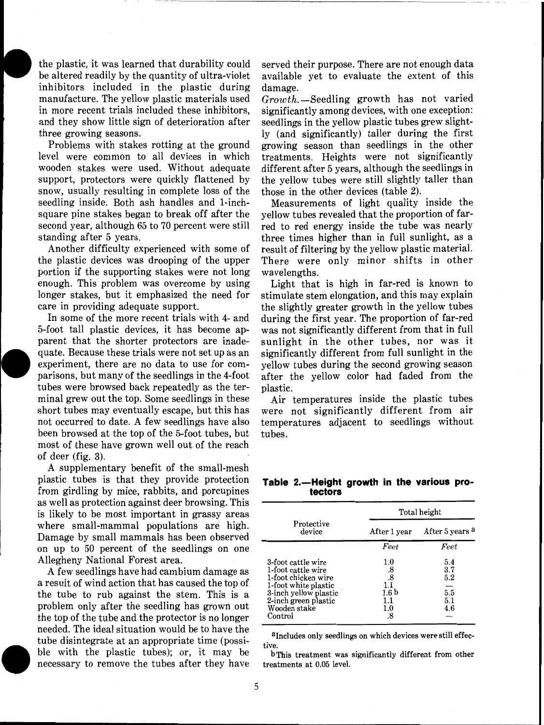the plastic, it was learned that durability could be altered readily by the quantity of ultra-violet inhibitors included in the plastic during manufacture. The yellow plastic materials used in more recent trials included these inhibitors, **<sup>l</sup>**and they show little sign of deterioration after three growing seasons.

Problems with stakes rotting at the ground level were common to all devices in which wooden stakes were used. Without adequate support, protectors were quickly flattened by snow, usually resulting in complete loss of the seedling inside. Both ash handles and 1-inchsquare pine stakes began to break off after the second year, although 65 to 70 percent were still standing after *5* years.

Another difficulty experienced with some of the plastic devices was drooping of the upper portion if the supporting stakes were not long enough. This problem was overcome by using longer stakes, but it emphasized the need for care in providing adequate support.

In some of the more recent trials with 4- and 5-foot tall plastic devices, it has become apparent that the shorter protectors are inadequate. Because these trials were not set up as an experiment, there are no data to use for comparisons, but many of the seedlings in the 4-foot tubes were browsed back repeatedly as the terminal grew out the top. Some seedlings in these short tubes may eventually escape, but this has not occurred to date. A few seedlings have also been browsed at the top of the 5-foot tubes, but most of these have grown well out of the reach of deer (fig. **3).** 

A supplementary benefit of the small-mesh plastic tubes is that they provide protection from girdling by mice, rabbits, and porcupines as well as protection against deer browsing. This is likely to be most important in grassy areas where small-mammal populations are high. Damage by small mammals has been observed on up to 50 percent of the seedlings on one Allegheny National Forest area.

A few seedlings have had cambium damage as a result of wind action that has caused the top of the tube to rub against the stem. This is a problem only after the seedling has grown out the top of the tube and the protector is no longer needed. The ideal situation would be to have the tube disintegrate at an appropriate time (possible with the plastic tubes); or, it may be necessary to remove the tubes after they have served their purpose. There are not enough data available yet to evaluate the extent of this damage.

 $Growth$ . Seedling growth has not varied significantly among devices, with one exception: seedlings in the yellow plastic tubes grew slightly (and significantly) taller during the first growing season than seedlings in the other treatments. Heights were not significantly different after 5 years, although the seedlings in the yellow tubes were still slightly taller than those in the other devices (table **2).** 

Measurements of light quality inside the yellow tubes revealed that the proportion of farred to red energy inside the tube was nearly three times higher than in full sunlight, as a result of filtering by the yellow plastic material. There were only minor shifts in other wavelengths.

Light that is high in far-red is known to stimulate stem elongation, and this may explain the slightly greater growth in the yellow tubes during the first year. The proportion of far-red was not significantly different from that in full sunlight in the other tubes, nor was it significantly different from full sunlight in the yellow tubes during the second growing season after the yellow color had faded from the plastic.

Air temperatures inside the plastic tubes were not significantly different from air temperatures adjacent to seedlings without tubes.

Table 2.-Height growth in the various pro**tectors** 

|                                                                                                                                                                     | Total height                                                       |                                                     |  |  |
|---------------------------------------------------------------------------------------------------------------------------------------------------------------------|--------------------------------------------------------------------|-----------------------------------------------------|--|--|
| Protective<br>device                                                                                                                                                | After 1 year                                                       | After 5 years a                                     |  |  |
|                                                                                                                                                                     | Feet                                                               | Feet                                                |  |  |
| 3-foot cattle wire<br>1-foot cattle wire<br>1-foot chicken wire<br>1-foot white plastic<br>3-inch yellow plastic<br>2-inch green plastic<br>Wooden stake<br>Control | $1.0\,$<br>$\frac{.8}{.8}$<br>1.1<br>1.6 b<br>1.1<br>$1.0\,$<br>.8 | 5.4<br>3.7<br>5.2<br>$\overline{5.5}$<br>5.1<br>4.6 |  |  |

a Includes only seedlings on which devices were still effective.

b This treatment was significantly different from other treatments at 0.05 level.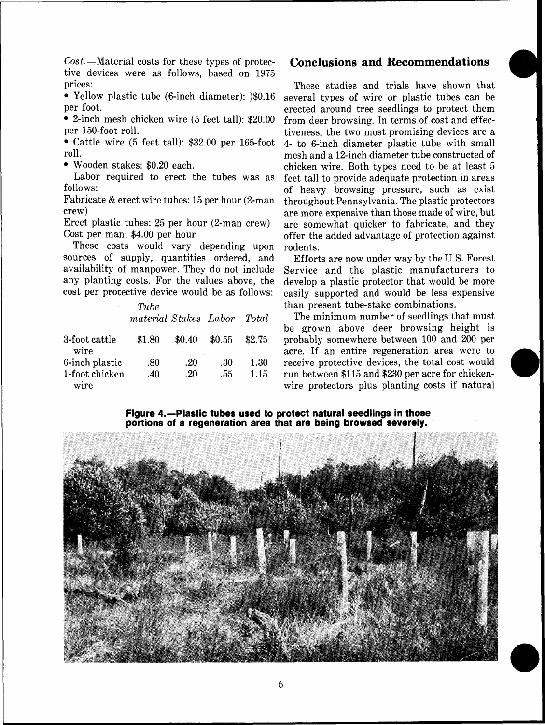$Cost$ —Material costs for these types of protective devices were as follows, based on 1975 prices:

Yellow plastic tube (6-inch diameter): )\$0.16 per foot.

2-inch mesh chicken wire (5 feet tall): \$20.00 per 150-foot roll.

Cattle wire (5 feet tall): \$32.00 per 165-foot roll.

Wooden stakes: \$0.20 each.

Labor required to erect the tubes was as follows:

Fabricate & erect wire tubes: 15 per hour (2-man crew)

Erect plastic tubes: 25 per hour (2-man crew) Cost per man: \$4.00 per hour

These costs would vary depending upon sources of supply, quantities ordered, and availability of manpower. They do not include any planting costs. For the values above, the cost per protective device would be as follows:

|                        | Tube<br>material Stakes Labor |        |        | Total  |
|------------------------|-------------------------------|--------|--------|--------|
| 3-foot cattle<br>wire  | \$1.80                        | \$0.40 | \$0.55 | \$2.75 |
| 6-inch plastic         | .80                           | .20    | -30    | 1.30   |
| 1-foot chicken<br>wire | .40                           | .20    | .55    | 1.15   |

## **Conclusions and Recommendations**

These studies and trials have shown that several types of wire or plastic tubes can be erected around tree seedlings to protect them from deer browsing. In terms of cost and effectiveness, the two most promising devices are a 4- to 6-inch diameter plastic tube with small mesh and a 12-inch diameter tube constructed of chicken wire. Both types need to be at least 5 feet tall to provide adequate protection in areas of heavy browsing pressure, such as exist throughout Pennsylvania. The plastic protectors are more expensive than those made of wire, but are somewhat quicker to fabricate, and they offer the added advantage of protection against rodents.

Efforts are now under way by the U.S. Forest Service and the plastic manufacturers to develop a plastic protector that would be more easily supported and would be less expensive than present tube-stake combinations.

The minimum number of seedlings that must be grown above deer browsing height is probably somewhere between 100 and 200 per acre. If an entire regeneration area were to receive protective devices, the total cost would run between \$115 and \$230 per acre for chickenwire protectors plus planting costs if natural

### **Figure 4.--Plastic tubes used to protect natural seedlings in those portions of a regeneration area that are being browsed severely.**